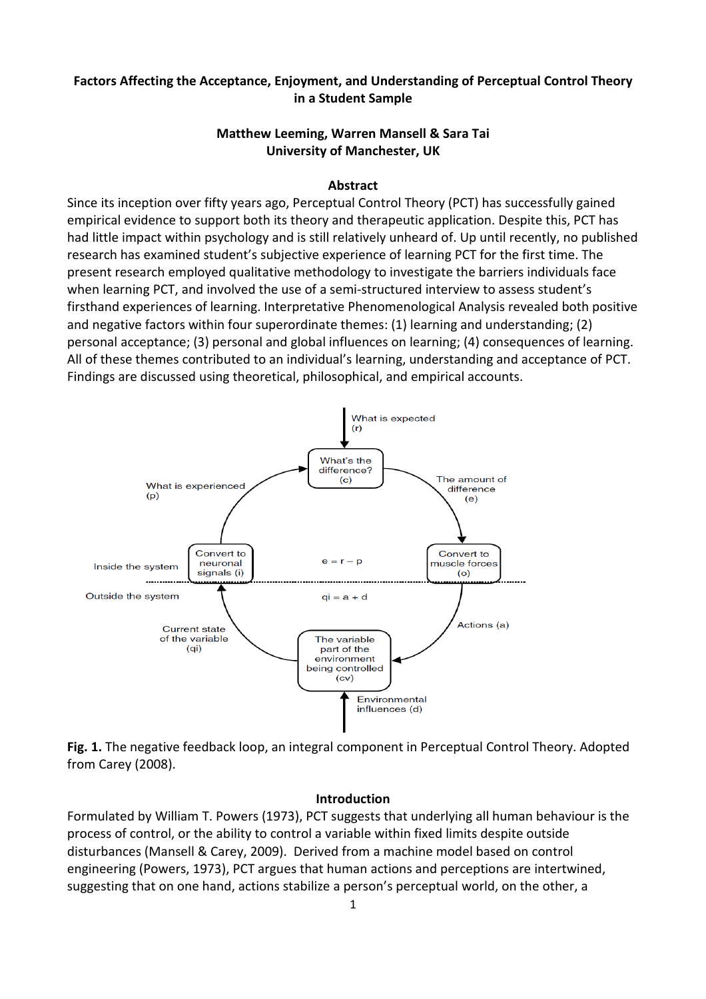## Factors Affecting the Acceptance, Enjoyment, and Understanding of Perceptual Control Theory in a Student Sample

## Matthew Leeming, Warren Mansell & Sara Tai University of Manchester, UK

### Abstract

Since its inception over fifty years ago, Perceptual Control Theory (PCT) has successfully gained empirical evidence to support both its theory and therapeutic application. Despite this, PCT has had little impact within psychology and is still relatively unheard of. Up until recently, no published research has examined student's subjective experience of learning PCT for the first time. The present research employed qualitative methodology to investigate the barriers individuals face when learning PCT, and involved the use of a semi-structured interview to assess student's firsthand experiences of learning. Interpretative Phenomenological Analysis revealed both positive and negative factors within four superordinate themes: (1) learning and understanding; (2) personal acceptance; (3) personal and global influences on learning; (4) consequences of learning. All of these themes contributed to an individual's learning, understanding and acceptance of PCT. Findings are discussed using theoretical, philosophical, and empirical accounts.



Fig. 1. The negative feedback loop, an integral component in Perceptual Control Theory. Adopted from Carey (2008).

#### Introduction

Formulated by William T. Powers (1973), PCT suggests that underlying all human behaviour is the process of control, or the ability to control a variable within fixed limits despite outside disturbances (Mansell & Carey, 2009). Derived from a machine model based on control engineering (Powers, 1973), PCT argues that human actions and perceptions are intertwined, suggesting that on one hand, actions stabilize a person's perceptual world, on the other, a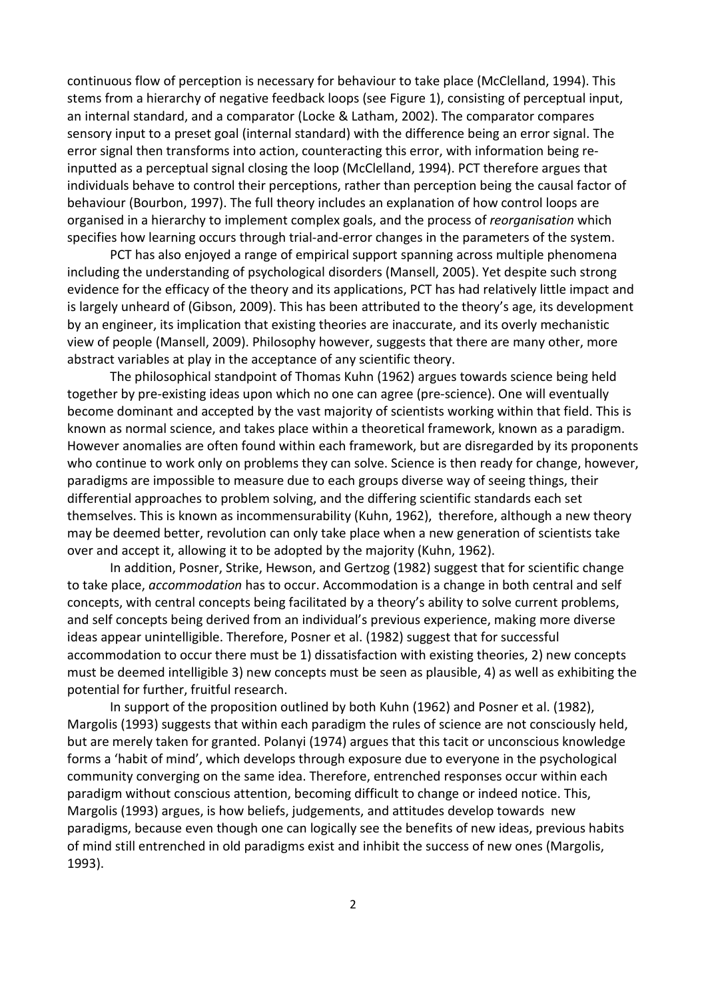continuous flow of perception is necessary for behaviour to take place (McClelland, 1994). This stems from a hierarchy of negative feedback loops (see Figure 1), consisting of perceptual input, an internal standard, and a comparator (Locke & Latham, 2002). The comparator compares sensory input to a preset goal (internal standard) with the difference being an error signal. The error signal then transforms into action, counteracting this error, with information being reinputted as a perceptual signal closing the loop (McClelland, 1994). PCT therefore argues that individuals behave to control their perceptions, rather than perception being the causal factor of behaviour (Bourbon, 1997). The full theory includes an explanation of how control loops are organised in a hierarchy to implement complex goals, and the process of reorganisation which specifies how learning occurs through trial-and-error changes in the parameters of the system.

 PCT has also enjoyed a range of empirical support spanning across multiple phenomena including the understanding of psychological disorders (Mansell, 2005). Yet despite such strong evidence for the efficacy of the theory and its applications, PCT has had relatively little impact and is largely unheard of (Gibson, 2009). This has been attributed to the theory's age, its development by an engineer, its implication that existing theories are inaccurate, and its overly mechanistic view of people (Mansell, 2009). Philosophy however, suggests that there are many other, more abstract variables at play in the acceptance of any scientific theory.

 The philosophical standpoint of Thomas Kuhn (1962) argues towards science being held together by pre-existing ideas upon which no one can agree (pre-science). One will eventually become dominant and accepted by the vast majority of scientists working within that field. This is known as normal science, and takes place within a theoretical framework, known as a paradigm. However anomalies are often found within each framework, but are disregarded by its proponents who continue to work only on problems they can solve. Science is then ready for change, however, paradigms are impossible to measure due to each groups diverse way of seeing things, their differential approaches to problem solving, and the differing scientific standards each set themselves. This is known as incommensurability (Kuhn, 1962), therefore, although a new theory may be deemed better, revolution can only take place when a new generation of scientists take over and accept it, allowing it to be adopted by the majority (Kuhn, 1962).

 In addition, Posner, Strike, Hewson, and Gertzog (1982) suggest that for scientific change to take place, accommodation has to occur. Accommodation is a change in both central and self concepts, with central concepts being facilitated by a theory's ability to solve current problems, and self concepts being derived from an individual's previous experience, making more diverse ideas appear unintelligible. Therefore, Posner et al. (1982) suggest that for successful accommodation to occur there must be 1) dissatisfaction with existing theories, 2) new concepts must be deemed intelligible 3) new concepts must be seen as plausible, 4) as well as exhibiting the potential for further, fruitful research.

 In support of the proposition outlined by both Kuhn (1962) and Posner et al. (1982), Margolis (1993) suggests that within each paradigm the rules of science are not consciously held, but are merely taken for granted. Polanyi (1974) argues that this tacit or unconscious knowledge forms a 'habit of mind', which develops through exposure due to everyone in the psychological community converging on the same idea. Therefore, entrenched responses occur within each paradigm without conscious attention, becoming difficult to change or indeed notice. This, Margolis (1993) argues, is how beliefs, judgements, and attitudes develop towards new paradigms, because even though one can logically see the benefits of new ideas, previous habits of mind still entrenched in old paradigms exist and inhibit the success of new ones (Margolis, 1993).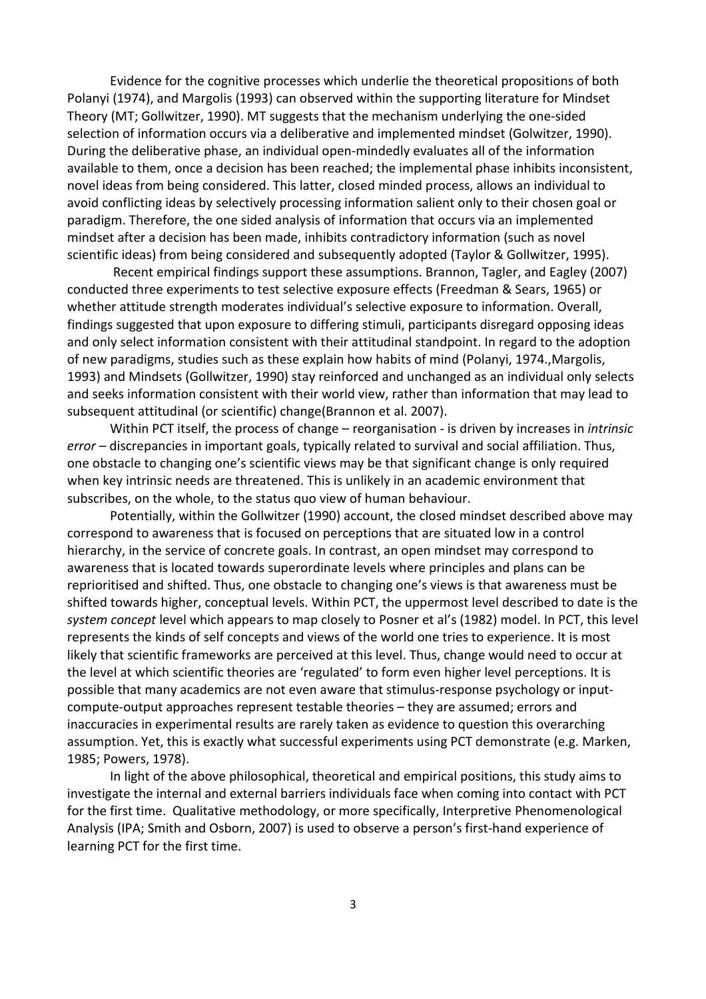Evidence for the cognitive processes which underlie the theoretical propositions of both Polanyi (1974), and Margolis (1993) can observed within the supporting literature for Mindset Theory (MT; Gollwitzer, 1990). MT suggests that the mechanism underlying the one-sided selection of information occurs via a deliberative and implemented mindset (Golwitzer, 1990). During the deliberative phase, an individual open-mindedly evaluates all of the information available to them, once a decision has been reached; the implemental phase inhibits inconsistent, novel ideas from being considered. This latter, closed minded process, allows an individual to avoid conflicting ideas by selectively processing information salient only to their chosen goal or paradigm. Therefore, the one sided analysis of information that occurs via an implemented mindset after a decision has been made, inhibits contradictory information (such as novel scientific ideas) from being considered and subsequently adopted (Taylor & Gollwitzer, 1995).

 Recent empirical findings support these assumptions. Brannon, Tagler, and Eagley (2007) conducted three experiments to test selective exposure effects (Freedman & Sears, 1965) or whether attitude strength moderates individual's selective exposure to information. Overall, findings suggested that upon exposure to differing stimuli, participants disregard opposing ideas and only select information consistent with their attitudinal standpoint. In regard to the adoption of new paradigms, studies such as these explain how habits of mind (Polanyi, 1974.,Margolis, 1993) and Mindsets (Gollwitzer, 1990) stay reinforced and unchanged as an individual only selects and seeks information consistent with their world view, rather than information that may lead to subsequent attitudinal (or scientific) change(Brannon et al. 2007).

Within PCT itself, the process of change – reorganisation - is driven by increases in *intrinsic* error – discrepancies in important goals, typically related to survival and social affiliation. Thus, one obstacle to changing one's scientific views may be that significant change is only required when key intrinsic needs are threatened. This is unlikely in an academic environment that subscribes, on the whole, to the status quo view of human behaviour.

Potentially, within the Gollwitzer (1990) account, the closed mindset described above may correspond to awareness that is focused on perceptions that are situated low in a control hierarchy, in the service of concrete goals. In contrast, an open mindset may correspond to awareness that is located towards superordinate levels where principles and plans can be reprioritised and shifted. Thus, one obstacle to changing one's views is that awareness must be shifted towards higher, conceptual levels. Within PCT, the uppermost level described to date is the system concept level which appears to map closely to Posner et al's (1982) model. In PCT, this level represents the kinds of self concepts and views of the world one tries to experience. It is most likely that scientific frameworks are perceived at this level. Thus, change would need to occur at the level at which scientific theories are 'regulated' to form even higher level perceptions. It is possible that many academics are not even aware that stimulus-response psychology or inputcompute-output approaches represent testable theories – they are assumed; errors and inaccuracies in experimental results are rarely taken as evidence to question this overarching assumption. Yet, this is exactly what successful experiments using PCT demonstrate (e.g. Marken, 1985; Powers, 1978).

 In light of the above philosophical, theoretical and empirical positions, this study aims to investigate the internal and external barriers individuals face when coming into contact with PCT for the first time. Qualitative methodology, or more specifically, Interpretive Phenomenological Analysis (IPA; Smith and Osborn, 2007) is used to observe a person's first-hand experience of learning PCT for the first time.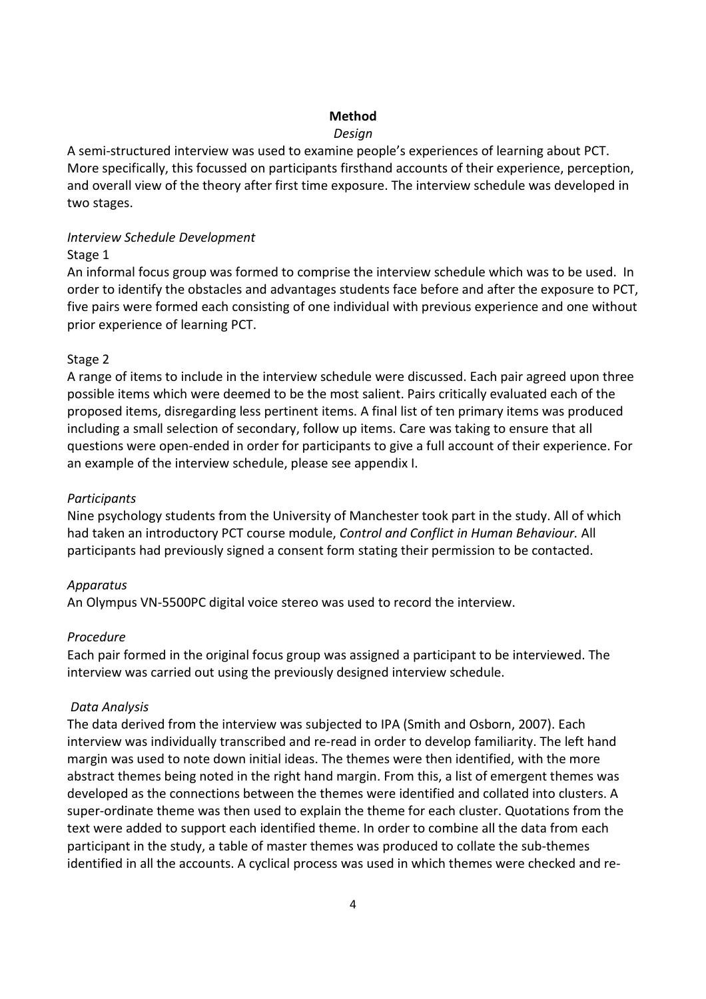## Method

### Design

A semi-structured interview was used to examine people's experiences of learning about PCT. More specifically, this focussed on participants firsthand accounts of their experience, perception, and overall view of the theory after first time exposure. The interview schedule was developed in two stages.

### Interview Schedule Development

### Stage 1

An informal focus group was formed to comprise the interview schedule which was to be used. In order to identify the obstacles and advantages students face before and after the exposure to PCT, five pairs were formed each consisting of one individual with previous experience and one without prior experience of learning PCT.

## Stage 2

A range of items to include in the interview schedule were discussed. Each pair agreed upon three possible items which were deemed to be the most salient. Pairs critically evaluated each of the proposed items, disregarding less pertinent items. A final list of ten primary items was produced including a small selection of secondary, follow up items. Care was taking to ensure that all questions were open-ended in order for participants to give a full account of their experience. For an example of the interview schedule, please see appendix I.

### **Participants**

Nine psychology students from the University of Manchester took part in the study. All of which had taken an introductory PCT course module, Control and Conflict in Human Behaviour. All participants had previously signed a consent form stating their permission to be contacted.

## Apparatus

An Olympus VN-5500PC digital voice stereo was used to record the interview.

## Procedure

Each pair formed in the original focus group was assigned a participant to be interviewed. The interview was carried out using the previously designed interview schedule.

## Data Analysis

The data derived from the interview was subjected to IPA (Smith and Osborn, 2007). Each interview was individually transcribed and re-read in order to develop familiarity. The left hand margin was used to note down initial ideas. The themes were then identified, with the more abstract themes being noted in the right hand margin. From this, a list of emergent themes was developed as the connections between the themes were identified and collated into clusters. A super-ordinate theme was then used to explain the theme for each cluster. Quotations from the text were added to support each identified theme. In order to combine all the data from each participant in the study, a table of master themes was produced to collate the sub-themes identified in all the accounts. A cyclical process was used in which themes were checked and re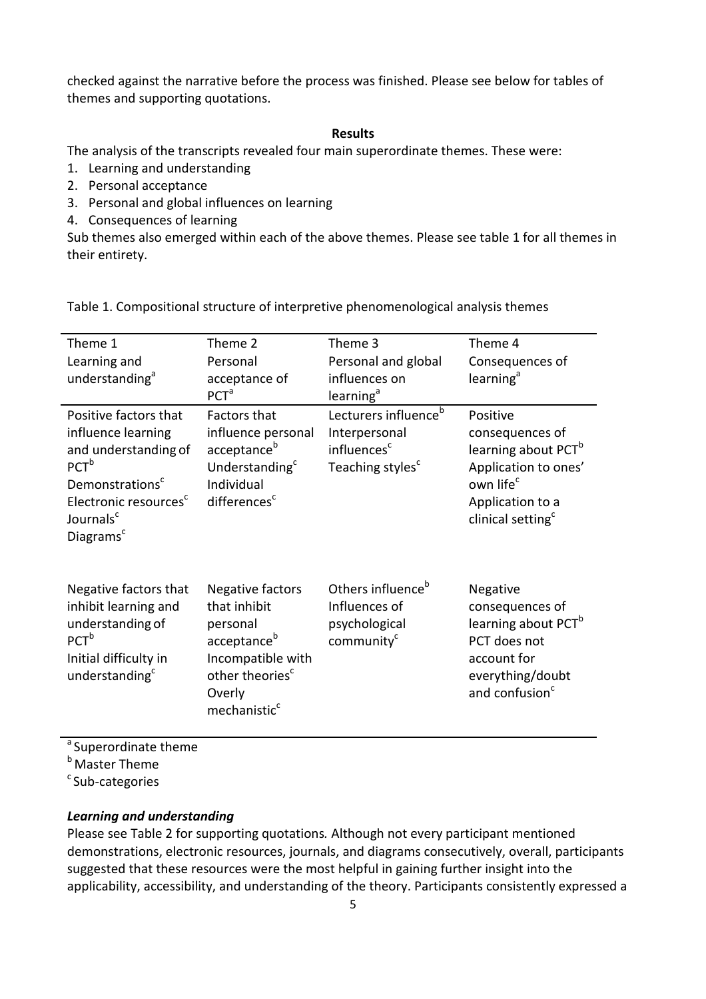checked against the narrative before the process was finished. Please see below for tables of themes and supporting quotations.

#### Results

The analysis of the transcripts revealed four main superordinate themes. These were:

- 1. Learning and understanding
- 2. Personal acceptance
- 3. Personal and global influences on learning
- 4. Consequences of learning

Sub themes also emerged within each of the above themes. Please see table 1 for all themes in their entirety.

| Theme 1<br>Learning and<br>understanding <sup>a</sup>                                                                                                                                                         | Theme 2<br>Personal<br>acceptance of<br>PCT <sup>a</sup>                                                                                                          | Theme 3<br>Personal and global<br>influences on<br>learning <sup>a</sup>                                     | Theme 4<br>Consequences of<br>learning <sup>a</sup>                                                                                                                  |
|---------------------------------------------------------------------------------------------------------------------------------------------------------------------------------------------------------------|-------------------------------------------------------------------------------------------------------------------------------------------------------------------|--------------------------------------------------------------------------------------------------------------|----------------------------------------------------------------------------------------------------------------------------------------------------------------------|
| Positive factors that<br>influence learning<br>and understanding of<br>PCT <sup>b</sup><br>Demonstrations <sup>c</sup><br>Electronic resources <sup>c</sup><br>Journals <sup>c</sup><br>Diagrams <sup>c</sup> | <b>Factors that</b><br>influence personal<br>acceptance <sup>b</sup><br>Understanding <sup>c</sup><br>Individual<br>differences <sup>c</sup>                      | Lecturers influence <sup>b</sup><br>Interpersonal<br>influences <sup>c</sup><br>Teaching styles <sup>c</sup> | Positive<br>consequences of<br>learning about PCT <sup>b</sup><br>Application to ones'<br>own life <sup>c</sup><br>Application to a<br>clinical setting <sup>c</sup> |
| Negative factors that<br>inhibit learning and<br>understanding of<br>$PCT^b$<br>Initial difficulty in<br>understanding <sup>c</sup>                                                                           | Negative factors<br>that inhibit<br>personal<br>acceptance <sup>b</sup><br>Incompatible with<br>other theories <sup>c</sup><br>Overly<br>mechanistic <sup>c</sup> | Others influence <sup>b</sup><br>Influences of<br>psychological<br>community <sup>c</sup>                    | Negative<br>consequences of<br>learning about PCT <sup>b</sup><br>PCT does not<br>account for<br>everything/doubt<br>and confusion <sup>c</sup>                      |

Table 1. Compositional structure of interpretive phenomenological analysis themes

<sup>a</sup> Superordinate theme

**b** Master Theme

 $c$ Sub-categories

### Learning and understanding

Please see Table 2 for supporting quotations. Although not every participant mentioned demonstrations, electronic resources, journals, and diagrams consecutively, overall, participants suggested that these resources were the most helpful in gaining further insight into the applicability, accessibility, and understanding of the theory. Participants consistently expressed a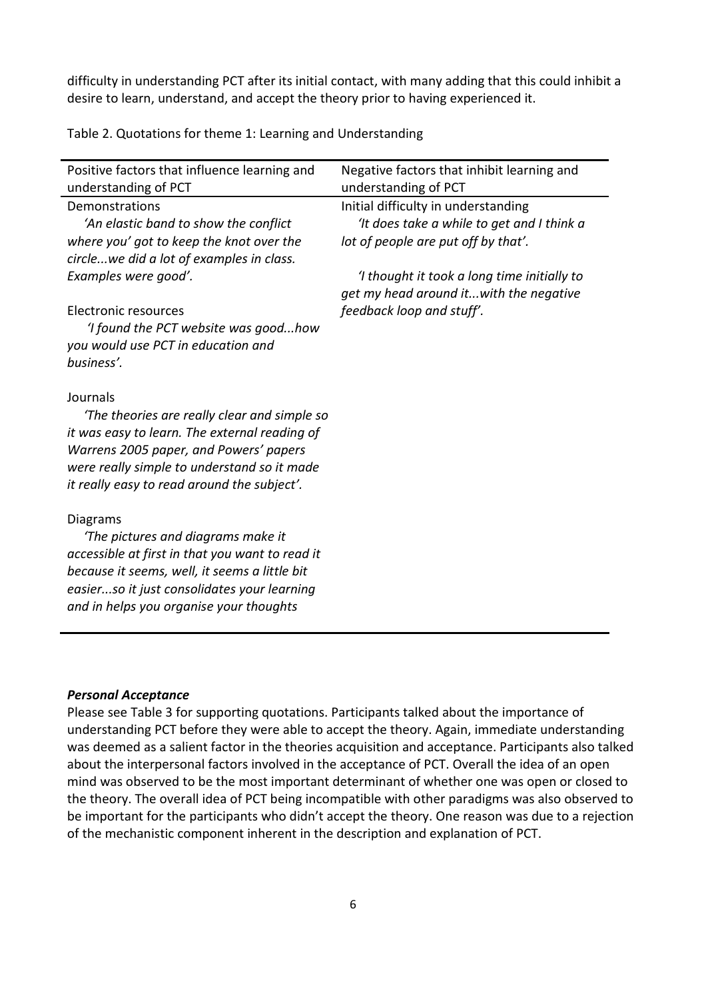difficulty in understanding PCT after its initial contact, with many adding that this could inhibit a desire to learn, understand, and accept the theory prior to having experienced it.

Table 2. Quotations for theme 1: Learning and Understanding

| Positive factors that influence learning and<br>understanding of PCT                                                                                                                                                                                                                        | Negative factors that inhibit learning and<br>understanding of PCT                                                                                                                                                                             |
|---------------------------------------------------------------------------------------------------------------------------------------------------------------------------------------------------------------------------------------------------------------------------------------------|------------------------------------------------------------------------------------------------------------------------------------------------------------------------------------------------------------------------------------------------|
| Demonstrations<br>'An elastic band to show the conflict<br>where you' got to keep the knot over the<br>circlewe did a lot of examples in class.<br>Examples were good'.<br>Electronic resources<br>'I found the PCT website was goodhow<br>you would use PCT in education and<br>business'. | Initial difficulty in understanding<br>'It does take a while to get and I think a<br>lot of people are put off by that'.<br>'I thought it took a long time initially to<br>get my head around itwith the negative<br>feedback loop and stuff'. |
| Journals<br>The theories are really clear and simple so<br>it was easy to learn. The external reading of<br>Warrens 2005 paper, and Powers' papers<br>were really simple to understand so it made<br>it really easy to read around the subject'.                                            |                                                                                                                                                                                                                                                |
| Diagrams<br>'The pictures and diagrams make it<br>accessible at first in that you want to read it<br>because it seems, well, it seems a little bit<br>easierso it just consolidates your learning<br>and in helps you organise your thoughts                                                |                                                                                                                                                                                                                                                |

### Personal Acceptance

Please see Table 3 for supporting quotations. Participants talked about the importance of understanding PCT before they were able to accept the theory. Again, immediate understanding was deemed as a salient factor in the theories acquisition and acceptance. Participants also talked about the interpersonal factors involved in the acceptance of PCT. Overall the idea of an open mind was observed to be the most important determinant of whether one was open or closed to the theory. The overall idea of PCT being incompatible with other paradigms was also observed to be important for the participants who didn't accept the theory. One reason was due to a rejection of the mechanistic component inherent in the description and explanation of PCT.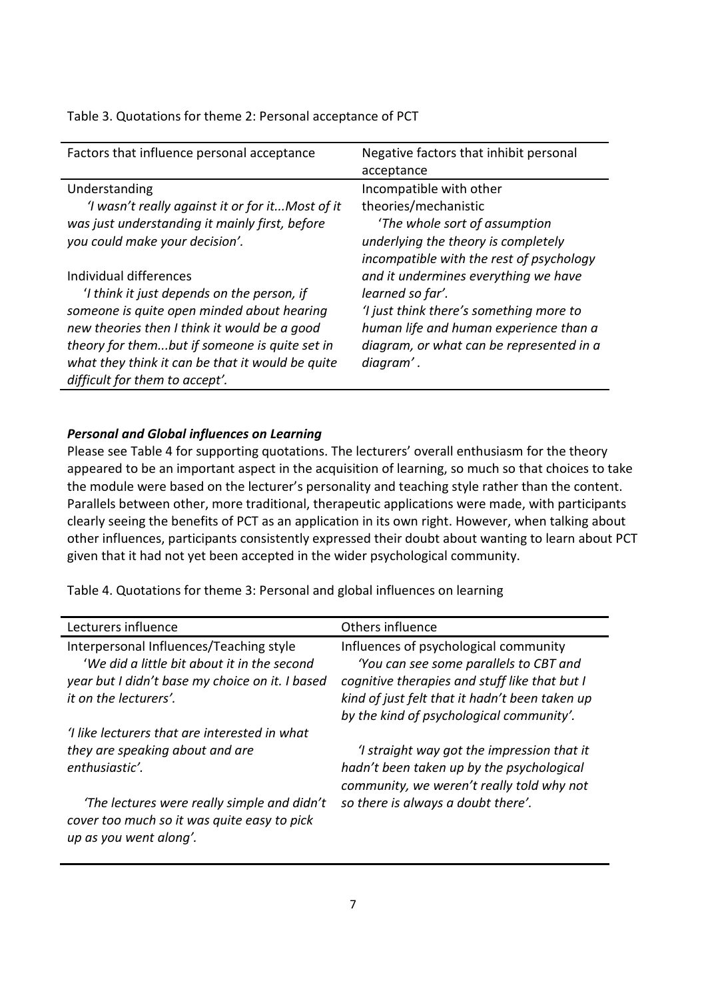| Factors that influence personal acceptance       | Negative factors that inhibit personal   |
|--------------------------------------------------|------------------------------------------|
|                                                  | acceptance                               |
| Understanding                                    | Incompatible with other                  |
| 'I wasn't really against it or for itMost of it  | theories/mechanistic                     |
| was just understanding it mainly first, before   | 'The whole sort of assumption            |
| you could make your decision'.                   | underlying the theory is completely      |
|                                                  | incompatible with the rest of psychology |
| Individual differences                           | and it undermines everything we have     |
| 'I think it just depends on the person, if       | learned so far'.                         |
| someone is quite open minded about hearing       | 'I just think there's something more to  |
| new theories then I think it would be a good     | human life and human experience than a   |
| theory for thembut if someone is quite set in    | diagram, or what can be represented in a |
| what they think it can be that it would be quite | diagram'.                                |
| difficult for them to accept'.                   |                                          |

### Table 3. Quotations for theme 2: Personal acceptance of PCT

### Personal and Global influences on Learning

Please see Table 4 for supporting quotations. The lecturers' overall enthusiasm for the theory appeared to be an important aspect in the acquisition of learning, so much so that choices to take the module were based on the lecturer's personality and teaching style rather than the content. Parallels between other, more traditional, therapeutic applications were made, with participants clearly seeing the benefits of PCT as an application in its own right. However, when talking about other influences, participants consistently expressed their doubt about wanting to learn about PCT given that it had not yet been accepted in the wider psychological community.

Table 4. Quotations for theme 3: Personal and global influences on learning

| Others influence                               |
|------------------------------------------------|
| Influences of psychological community          |
| 'You can see some parallels to CBT and         |
| cognitive therapies and stuff like that but I  |
| kind of just felt that it hadn't been taken up |
| by the kind of psychological community'.       |
|                                                |
| 'I straight way got the impression that it     |
| hadn't been taken up by the psychological      |
| community, we weren't really told why not      |
| so there is always a doubt there'.             |
|                                                |
|                                                |
|                                                |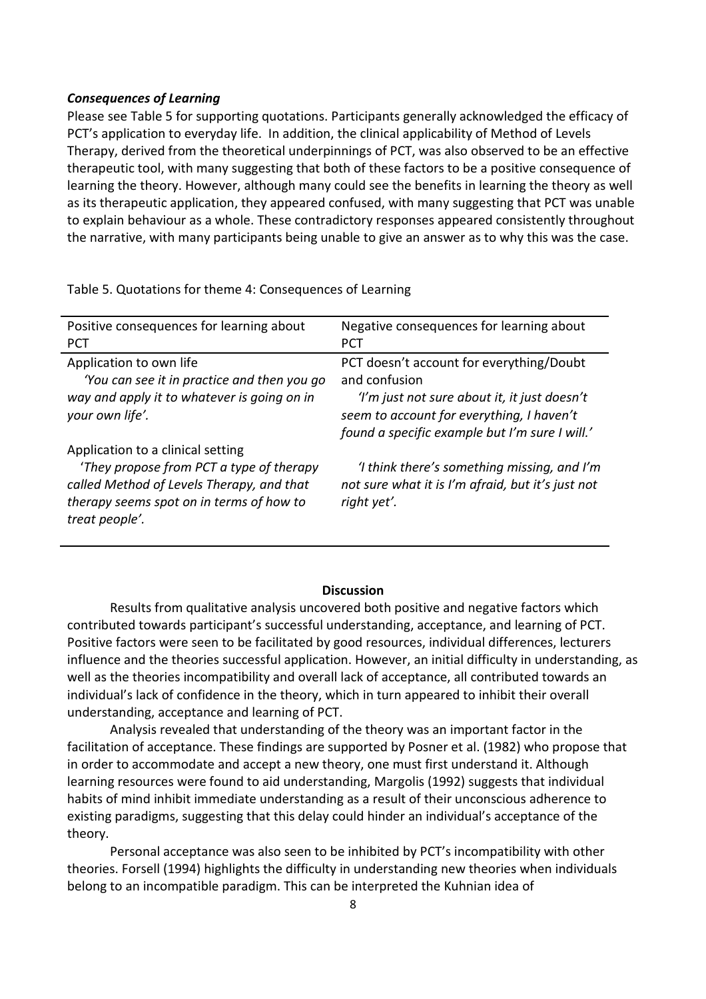#### Consequences of Learning

Please see Table 5 for supporting quotations. Participants generally acknowledged the efficacy of PCT's application to everyday life. In addition, the clinical applicability of Method of Levels Therapy, derived from the theoretical underpinnings of PCT, was also observed to be an effective therapeutic tool, with many suggesting that both of these factors to be a positive consequence of learning the theory. However, although many could see the benefits in learning the theory as well as its therapeutic application, they appeared confused, with many suggesting that PCT was unable to explain behaviour as a whole. These contradictory responses appeared consistently throughout the narrative, with many participants being unable to give an answer as to why this was the case.

Table 5. Quotations for theme 4: Consequences of Learning

| Positive consequences for learning about                                                                                                                                                 | Negative consequences for learning about                                                                                                    |
|------------------------------------------------------------------------------------------------------------------------------------------------------------------------------------------|---------------------------------------------------------------------------------------------------------------------------------------------|
| <b>PCT</b>                                                                                                                                                                               | <b>PCT</b>                                                                                                                                  |
| Application to own life                                                                                                                                                                  | PCT doesn't account for everything/Doubt                                                                                                    |
| 'You can see it in practice and then you go                                                                                                                                              | and confusion                                                                                                                               |
| way and apply it to whatever is going on in<br>your own life'.                                                                                                                           | 'I'm just not sure about it, it just doesn't<br>seem to account for everything, I haven't<br>found a specific example but I'm sure I will.' |
| Application to a clinical setting<br>'They propose from PCT a type of therapy<br>called Method of Levels Therapy, and that<br>therapy seems spot on in terms of how to<br>treat people'. | 'I think there's something missing, and I'm<br>not sure what it is I'm afraid, but it's just not<br>right yet'.                             |

### **Discussion**

Results from qualitative analysis uncovered both positive and negative factors which contributed towards participant's successful understanding, acceptance, and learning of PCT. Positive factors were seen to be facilitated by good resources, individual differences, lecturers influence and the theories successful application. However, an initial difficulty in understanding, as well as the theories incompatibility and overall lack of acceptance, all contributed towards an individual's lack of confidence in the theory, which in turn appeared to inhibit their overall understanding, acceptance and learning of PCT.

 Analysis revealed that understanding of the theory was an important factor in the facilitation of acceptance. These findings are supported by Posner et al. (1982) who propose that in order to accommodate and accept a new theory, one must first understand it. Although learning resources were found to aid understanding, Margolis (1992) suggests that individual habits of mind inhibit immediate understanding as a result of their unconscious adherence to existing paradigms, suggesting that this delay could hinder an individual's acceptance of the theory.

 Personal acceptance was also seen to be inhibited by PCT's incompatibility with other theories. Forsell (1994) highlights the difficulty in understanding new theories when individuals belong to an incompatible paradigm. This can be interpreted the Kuhnian idea of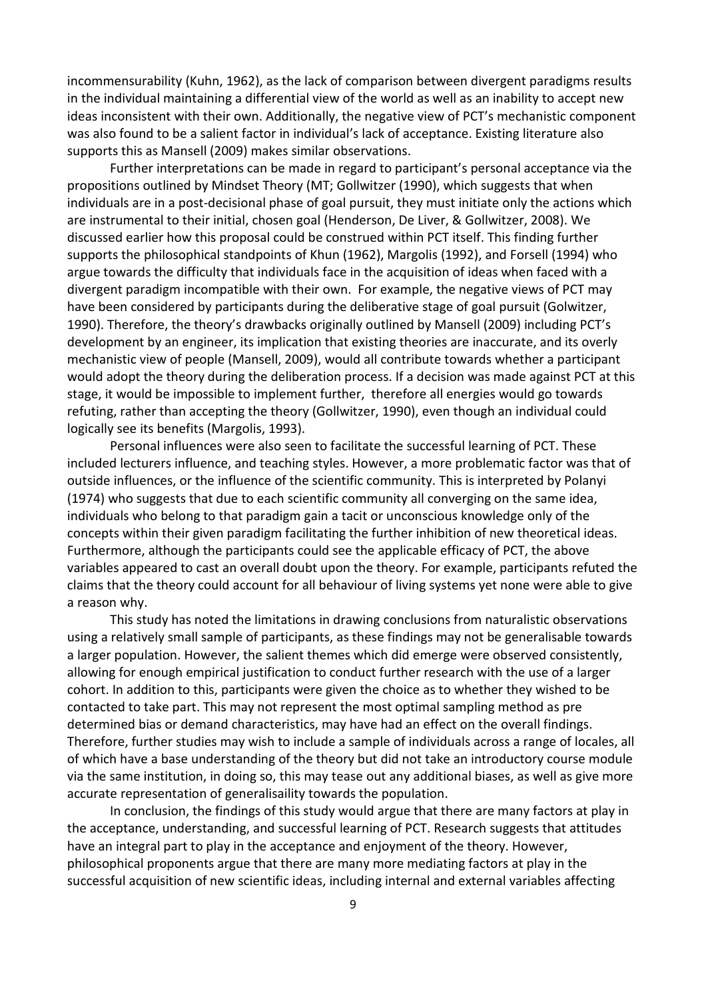incommensurability (Kuhn, 1962), as the lack of comparison between divergent paradigms results in the individual maintaining a differential view of the world as well as an inability to accept new ideas inconsistent with their own. Additionally, the negative view of PCT's mechanistic component was also found to be a salient factor in individual's lack of acceptance. Existing literature also supports this as Mansell (2009) makes similar observations.

 Further interpretations can be made in regard to participant's personal acceptance via the propositions outlined by Mindset Theory (MT; Gollwitzer (1990), which suggests that when individuals are in a post-decisional phase of goal pursuit, they must initiate only the actions which are instrumental to their initial, chosen goal (Henderson, De Liver, & Gollwitzer, 2008). We discussed earlier how this proposal could be construed within PCT itself. This finding further supports the philosophical standpoints of Khun (1962), Margolis (1992), and Forsell (1994) who argue towards the difficulty that individuals face in the acquisition of ideas when faced with a divergent paradigm incompatible with their own. For example, the negative views of PCT may have been considered by participants during the deliberative stage of goal pursuit (Golwitzer, 1990). Therefore, the theory's drawbacks originally outlined by Mansell (2009) including PCT's development by an engineer, its implication that existing theories are inaccurate, and its overly mechanistic view of people (Mansell, 2009), would all contribute towards whether a participant would adopt the theory during the deliberation process. If a decision was made against PCT at this stage, it would be impossible to implement further, therefore all energies would go towards refuting, rather than accepting the theory (Gollwitzer, 1990), even though an individual could logically see its benefits (Margolis, 1993).

 Personal influences were also seen to facilitate the successful learning of PCT. These included lecturers influence, and teaching styles. However, a more problematic factor was that of outside influences, or the influence of the scientific community. This is interpreted by Polanyi (1974) who suggests that due to each scientific community all converging on the same idea, individuals who belong to that paradigm gain a tacit or unconscious knowledge only of the concepts within their given paradigm facilitating the further inhibition of new theoretical ideas. Furthermore, although the participants could see the applicable efficacy of PCT, the above variables appeared to cast an overall doubt upon the theory. For example, participants refuted the claims that the theory could account for all behaviour of living systems yet none were able to give a reason why.

 This study has noted the limitations in drawing conclusions from naturalistic observations using a relatively small sample of participants, as these findings may not be generalisable towards a larger population. However, the salient themes which did emerge were observed consistently, allowing for enough empirical justification to conduct further research with the use of a larger cohort. In addition to this, participants were given the choice as to whether they wished to be contacted to take part. This may not represent the most optimal sampling method as pre determined bias or demand characteristics, may have had an effect on the overall findings. Therefore, further studies may wish to include a sample of individuals across a range of locales, all of which have a base understanding of the theory but did not take an introductory course module via the same institution, in doing so, this may tease out any additional biases, as well as give more accurate representation of generalisaility towards the population.

 In conclusion, the findings of this study would argue that there are many factors at play in the acceptance, understanding, and successful learning of PCT. Research suggests that attitudes have an integral part to play in the acceptance and enjoyment of the theory. However, philosophical proponents argue that there are many more mediating factors at play in the successful acquisition of new scientific ideas, including internal and external variables affecting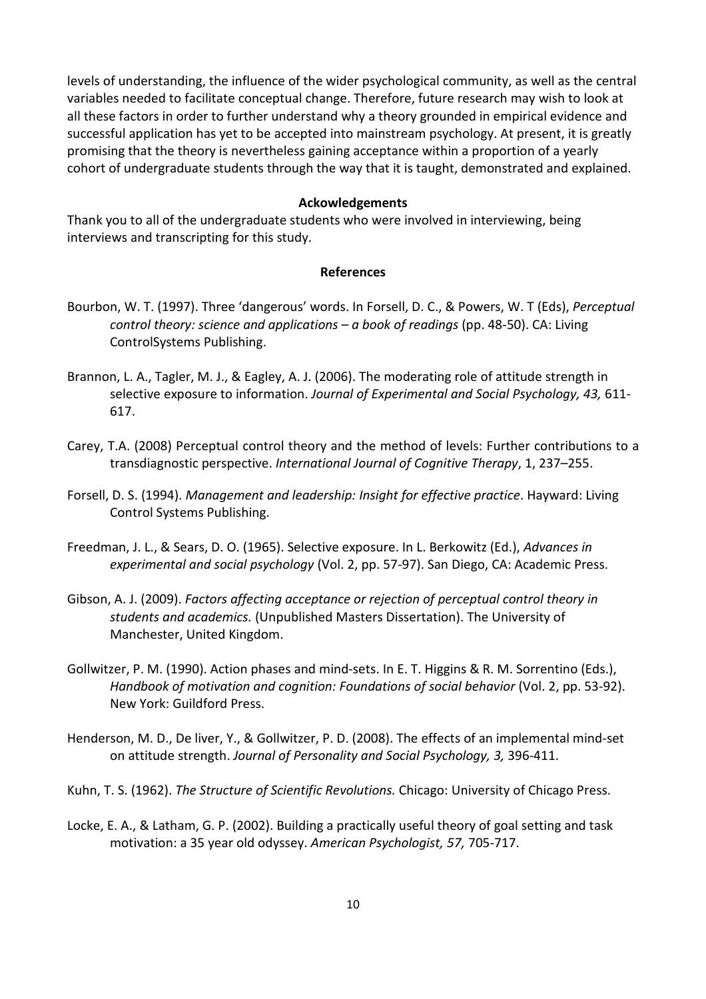levels of understanding, the influence of the wider psychological community, as well as the central variables needed to facilitate conceptual change. Therefore, future research may wish to look at all these factors in order to further understand why a theory grounded in empirical evidence and successful application has yet to be accepted into mainstream psychology. At present, it is greatly promising that the theory is nevertheless gaining acceptance within a proportion of a yearly cohort of undergraduate students through the way that it is taught, demonstrated and explained.

#### Ackowledgements

Thank you to all of the undergraduate students who were involved in interviewing, being interviews and transcripting for this study.

## References

- Bourbon, W. T. (1997). Three 'dangerous' words. In Forsell, D. C., & Powers, W. T (Eds), Perceptual control theory: science and applications  $-\alpha$  book of readings (pp. 48-50). CA: Living ControlSystems Publishing.
- Brannon, L. A., Tagler, M. J., & Eagley, A. J. (2006). The moderating role of attitude strength in selective exposure to information. Journal of Experimental and Social Psychology, 43, 611-617.
- Carey, T.A. (2008) Perceptual control theory and the method of levels: Further contributions to a transdiagnostic perspective. International Journal of Cognitive Therapy, 1, 237–255.
- Forsell, D. S. (1994). Management and leadership: Insight for effective practice. Hayward: Living Control Systems Publishing.
- Freedman, J. L., & Sears, D. O. (1965). Selective exposure. In L. Berkowitz (Ed.), Advances in experimental and social psychology (Vol. 2, pp. 57-97). San Diego, CA: Academic Press.
- Gibson, A. J. (2009). Factors affecting acceptance or rejection of perceptual control theory in students and academics. (Unpublished Masters Dissertation). The University of Manchester, United Kingdom.
- Gollwitzer, P. M. (1990). Action phases and mind-sets. In E. T. Higgins & R. M. Sorrentino (Eds.), Handbook of motivation and cognition: Foundations of social behavior (Vol. 2, pp. 53-92). New York: Guildford Press.
- Henderson, M. D., De liver, Y., & Gollwitzer, P. D. (2008). The effects of an implemental mind-set on attitude strength. Journal of Personality and Social Psychology, 3, 396-411.
- Kuhn, T. S. (1962). The Structure of Scientific Revolutions. Chicago: University of Chicago Press.
- Locke, E. A., & Latham, G. P. (2002). Building a practically useful theory of goal setting and task motivation: a 35 year old odyssey. American Psychologist, 57, 705-717.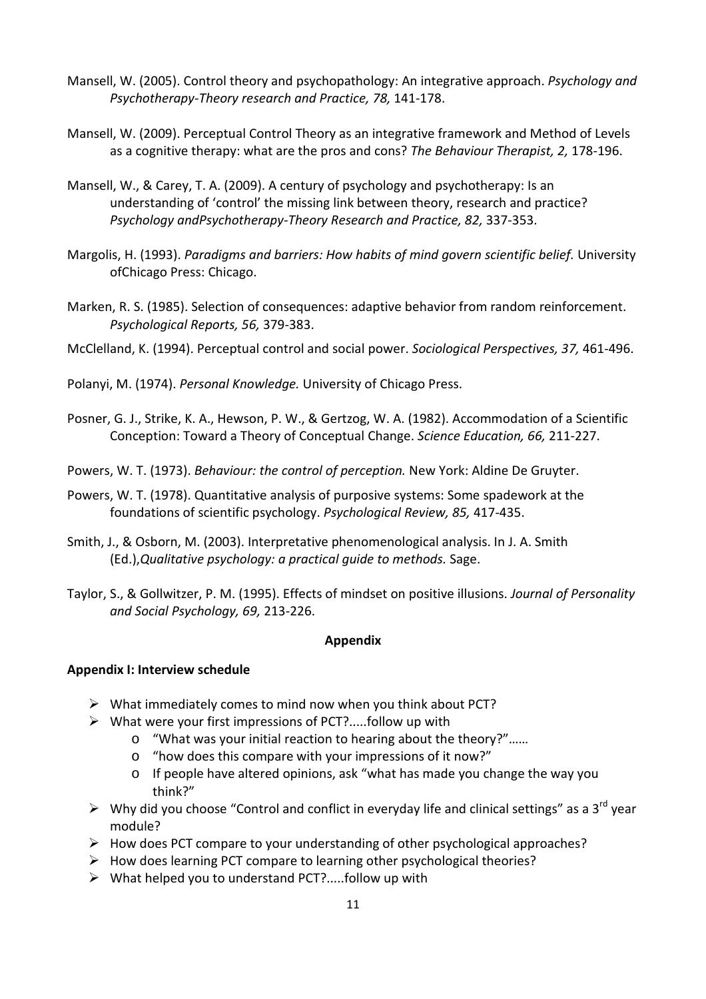- Mansell, W. (2005). Control theory and psychopathology: An integrative approach. Psychology and Psychotherapy-Theory research and Practice, 78, 141-178.
- Mansell, W. (2009). Perceptual Control Theory as an integrative framework and Method of Levels as a cognitive therapy: what are the pros and cons? The Behaviour Therapist, 2, 178-196.
- Mansell, W., & Carey, T. A. (2009). A century of psychology and psychotherapy: Is an understanding of 'control' the missing link between theory, research and practice? Psychology andPsychotherapy-Theory Research and Practice, 82, 337-353.
- Margolis, H. (1993). Paradigms and barriers: How habits of mind govern scientific belief. University ofChicago Press: Chicago.
- Marken, R. S. (1985). Selection of consequences: adaptive behavior from random reinforcement. Psychological Reports, 56, 379-383.
- McClelland, K. (1994). Perceptual control and social power. Sociological Perspectives, 37, 461-496.
- Polanyi, M. (1974). Personal Knowledge. University of Chicago Press.
- Posner, G. J., Strike, K. A., Hewson, P. W., & Gertzog, W. A. (1982). Accommodation of a Scientific Conception: Toward a Theory of Conceptual Change. Science Education, 66, 211-227.
- Powers, W. T. (1973). Behaviour: the control of perception. New York: Aldine De Gruyter.
- Powers, W. T. (1978). Quantitative analysis of purposive systems: Some spadework at the foundations of scientific psychology. Psychological Review, 85, 417-435.
- Smith, J., & Osborn, M. (2003). Interpretative phenomenological analysis. In J. A. Smith (Ed.),Qualitative psychology: a practical guide to methods. Sage.
- Taylor, S., & Gollwitzer, P. M. (1995). Effects of mindset on positive illusions. Journal of Personality and Social Psychology, 69, 213-226.

## Appendix

# Appendix I: Interview schedule

- $\triangleright$  What immediately comes to mind now when you think about PCT?
- $\triangleright$  What were your first impressions of PCT?.....follow up with
	- o "What was your initial reaction to hearing about the theory?"……
	- o "how does this compare with your impressions of it now?"
	- o If people have altered opinions, ask "what has made you change the way you think?"
- $\triangleright$  Why did you choose "Control and conflict in everyday life and clinical settings" as a 3<sup>rd</sup> year module?
- $\triangleright$  How does PCT compare to your understanding of other psychological approaches?
- $\triangleright$  How does learning PCT compare to learning other psychological theories?
- $\triangleright$  What helped you to understand PCT?.....follow up with